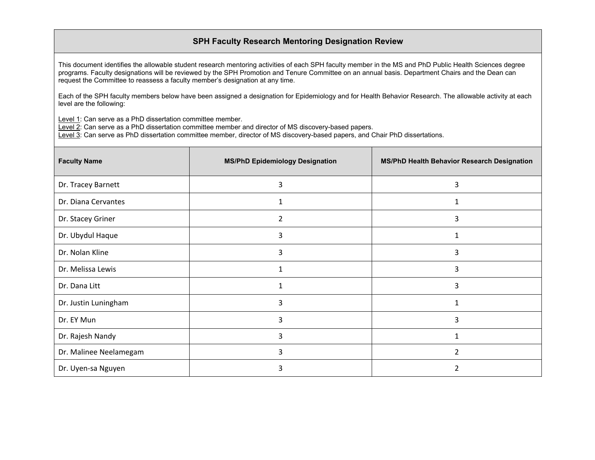## **SPH Faculty Research Mentoring Designation Review**

This document identifies the allowable student research mentoring activities of each SPH faculty member in the MS and PhD Public Health Sciences degree programs. Faculty designations will be reviewed by the SPH Promotion and Tenure Committee on an annual basis. Department Chairs and the Dean can request the Committee to reassess a faculty member's designation at any time.

Each of the SPH faculty members below have been assigned a designation for Epidemiology and for Health Behavior Research. The allowable activity at each level are the following:

Level 1: Can serve as a PhD dissertation committee member.

Level 2: Can serve as a PhD dissertation committee member and director of MS discovery-based papers.

Level 3: Can serve as PhD dissertation committee member, director of MS discovery-based papers, and Chair PhD dissertations.

| <b>Faculty Name</b>    | <b>MS/PhD Epidemiology Designation</b> | MS/PhD Health Behavior Research Designation |
|------------------------|----------------------------------------|---------------------------------------------|
| Dr. Tracey Barnett     | 3                                      | 3                                           |
| Dr. Diana Cervantes    |                                        |                                             |
| Dr. Stacey Griner      | 2                                      | 3                                           |
| Dr. Ubydul Haque       | 3                                      | 1                                           |
| Dr. Nolan Kline        | 3                                      | 3                                           |
| Dr. Melissa Lewis      |                                        | 3                                           |
| Dr. Dana Litt          |                                        | 3                                           |
| Dr. Justin Luningham   | 3                                      | 1                                           |
| Dr. EY Mun             | 3                                      | 3                                           |
| Dr. Rajesh Nandy       | 3                                      |                                             |
| Dr. Malinee Neelamegam | 3                                      | $\overline{2}$                              |
| Dr. Uyen-sa Nguyen     | 3                                      | っ                                           |